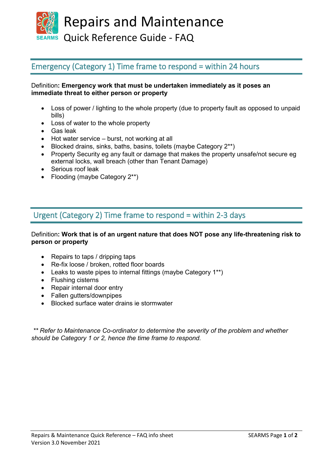Repairs and Maintenance

SEARMS Quick Reference Guide - FAQ

### Emergency (Category 1) Time frame to respond = within 24 hours

#### Definition**: Emergency work that must be undertaken immediately as it poses an immediate threat to either person or property**

- Loss of power / lighting to the whole property (due to property fault as opposed to unpaid bills)
- Loss of water to the whole property
- Gas leak
- Hot water service burst, not working at all
- Blocked drains, sinks, baths, basins, toilets (maybe Category 2<sup>\*\*</sup>)
- Property Security eg any fault or damage that makes the property unsafe/not secure eg external locks, wall breach (other than Tenant Damage)
- Serious roof leak
- Flooding (maybe Category 2\*\*)

### Urgent (Category 2) Time frame to respond = within 2-3 days

#### Definition**: Work that is of an urgent nature that does NOT pose any life-threatening risk to person or property**

- Repairs to taps / dripping taps
- Re-fix loose / broken, rotted floor boards
- Leaks to waste pipes to internal fittings (maybe Category 1\*\*)
- Flushing cisterns
- Repair internal door entry
- Fallen gutters/downpipes
- Blocked surface water drains ie stormwater

*\*\* Refer to Maintenance Co-ordinator to determine the severity of the problem and whether should be Category 1 or 2, hence the time frame to respond.*